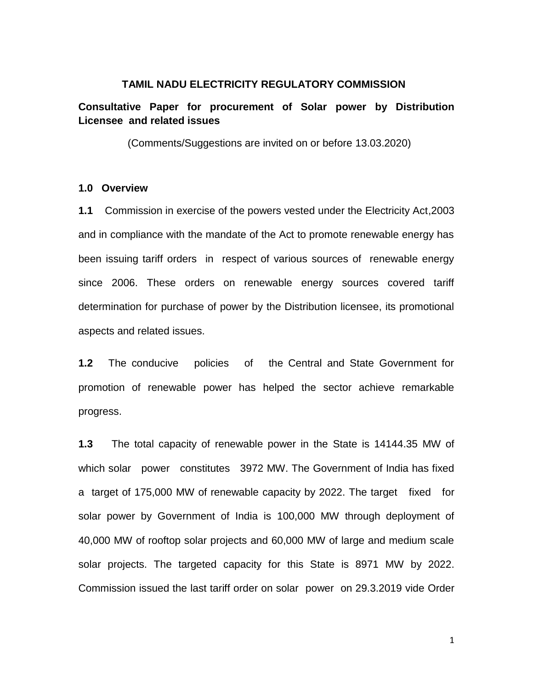## **TAMIL NADU ELECTRICITY REGULATORY COMMISSION**

# **Consultative Paper for procurement of Solar power by Distribution Licensee and related issues**

(Comments/Suggestions are invited on or before 13.03.2020)

## **1.0 Overview**

**1.1** Commission in exercise of the powers vested under the Electricity Act,2003 and in compliance with the mandate of the Act to promote renewable energy has been issuing tariff orders in respect of various sources of renewable energy since 2006. These orders on renewable energy sources covered tariff determination for purchase of power by the Distribution licensee, its promotional aspects and related issues.

**1.2** The conducive policies of the Central and State Government for promotion of renewable power has helped the sector achieve remarkable progress.

**1.3** The total capacity of renewable power in the State is 14144.35 MW of which solar power constitutes 3972 MW. The Government of India has fixed a target of 175,000 MW of renewable capacity by 2022. The target fixed for solar power by Government of India is 100,000 MW through deployment of 40,000 MW of rooftop solar projects and 60,000 MW of large and medium scale solar projects. The targeted capacity for this State is 8971 MW by 2022. Commission issued the last tariff order on solar power on 29.3.2019 vide Order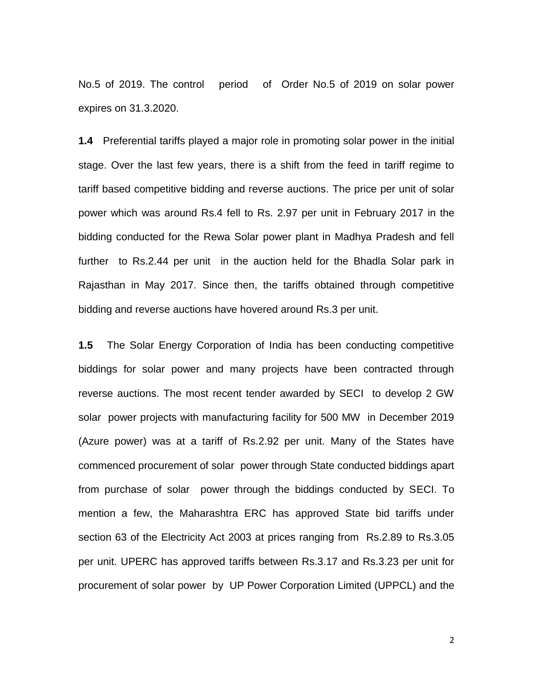No.5 of 2019. The control period of Order No.5 of 2019 on solar power expires on 31.3.2020.

**1.4** Preferential tariffs played a major role in promoting solar power in the initial stage. Over the last few years, there is a shift from the feed in tariff regime to tariff based competitive bidding and reverse auctions. The price per unit of solar power which was around Rs.4 fell to Rs. 2.97 per unit in February 2017 in the bidding conducted for the Rewa Solar power plant in Madhya Pradesh and fell further to Rs.2.44 per unit in the auction held for the Bhadla Solar park in Rajasthan in May 2017. Since then, the tariffs obtained through competitive bidding and reverse auctions have hovered around Rs.3 per unit.

**1.5** The Solar Energy Corporation of India has been conducting competitive biddings for solar power and many projects have been contracted through reverse auctions. The most recent tender awarded by SECI to develop 2 GW solar power projects with manufacturing facility for 500 MW in December 2019 (Azure power) was at a tariff of Rs.2.92 per unit. Many of the States have commenced procurement of solar power through State conducted biddings apart from purchase of solar power through the biddings conducted by SECI. To mention a few, the Maharashtra ERC has approved State bid tariffs under section 63 of the Electricity Act 2003 at prices ranging from Rs.2.89 to Rs.3.05 per unit. UPERC has approved tariffs between Rs.3.17 and Rs.3.23 per unit for procurement of solar power by UP Power Corporation Limited (UPPCL) and the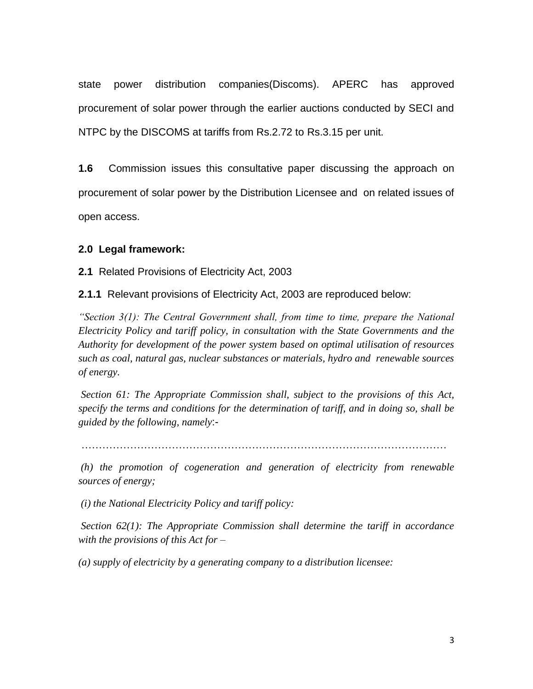state power distribution companies(Discoms). APERC has approved procurement of solar power through the earlier auctions conducted by SECI and NTPC by the DISCOMS at tariffs from Rs.2.72 to Rs.3.15 per unit.

**1.6** Commission issues this consultative paper discussing the approach on procurement of solar power by the Distribution Licensee and on related issues of open access.

# **2.0 Legal framework:**

**2.1** Related Provisions of Electricity Act, 2003

**2.1.1** Relevant provisions of Electricity Act, 2003 are reproduced below:

*"Section 3(1): The Central Government shall, from time to time, prepare the National Electricity Policy and tariff policy, in consultation with the State Governments and the Authority for development of the power system based on optimal utilisation of resources such as coal, natural gas, nuclear substances or materials, hydro and renewable sources of energy.* 

*Section 61: The Appropriate Commission shall, subject to the provisions of this Act, specify the terms and conditions for the determination of tariff, and in doing so, shall be guided by the following, namely*:-

……………………………………………………………………………………………

*(h) the promotion of cogeneration and generation of electricity from renewable sources of energy;*

*(i) the National Electricity Policy and tariff policy:* 

*Section 62(1): The Appropriate Commission shall determine the tariff in accordance with the provisions of this Act for –*

*(a) supply of electricity by a generating company to a distribution licensee:*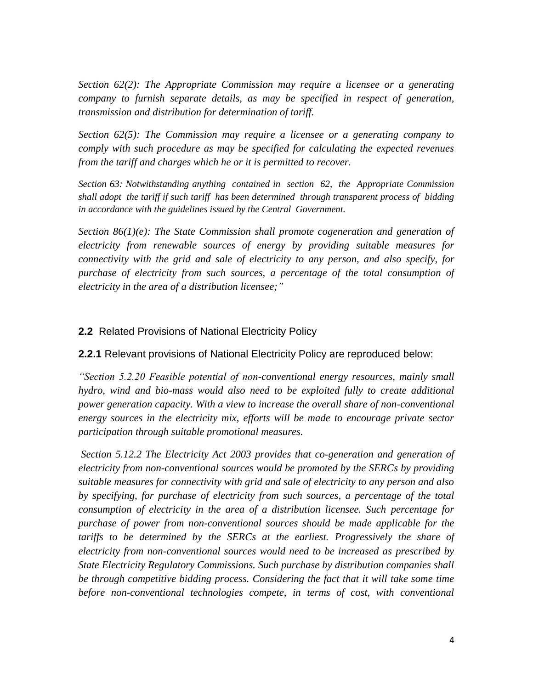*Section 62(2): The Appropriate Commission may require a licensee or a generating company to furnish separate details, as may be specified in respect of generation, transmission and distribution for determination of tariff.* 

*Section 62(5): The Commission may require a licensee or a generating company to comply with such procedure as may be specified for calculating the expected revenues from the tariff and charges which he or it is permitted to recover.*

*Section 63: Notwithstanding anything contained in section 62, the Appropriate Commission shall adopt the tariff if such tariff has been determined through transparent process of bidding in accordance with the guidelines issued by the Central Government.*

*Section 86(1)(e): The State Commission shall promote cogeneration and generation of electricity from renewable sources of energy by providing suitable measures for connectivity with the grid and sale of electricity to any person, and also specify, for purchase of electricity from such sources, a percentage of the total consumption of electricity in the area of a distribution licensee;"*

# **2.2** Related Provisions of National Electricity Policy

**2.2.1** Relevant provisions of National Electricity Policy are reproduced below:

*"Section 5.2.20 Feasible potential of non-conventional energy resources, mainly small hydro, wind and bio-mass would also need to be exploited fully to create additional power generation capacity. With a view to increase the overall share of non-conventional energy sources in the electricity mix, efforts will be made to encourage private sector participation through suitable promotional measures.* 

*Section 5.12.2 The Electricity Act 2003 provides that co-generation and generation of electricity from non-conventional sources would be promoted by the SERCs by providing suitable measures for connectivity with grid and sale of electricity to any person and also by specifying, for purchase of electricity from such sources, a percentage of the total consumption of electricity in the area of a distribution licensee. Such percentage for purchase of power from non-conventional sources should be made applicable for the*  tariffs to be determined by the SERCs at the earliest. Progressively the share of *electricity from non-conventional sources would need to be increased as prescribed by State Electricity Regulatory Commissions. Such purchase by distribution companies shall be through competitive bidding process. Considering the fact that it will take some time*  before non-conventional technologies compete, in terms of cost, with conventional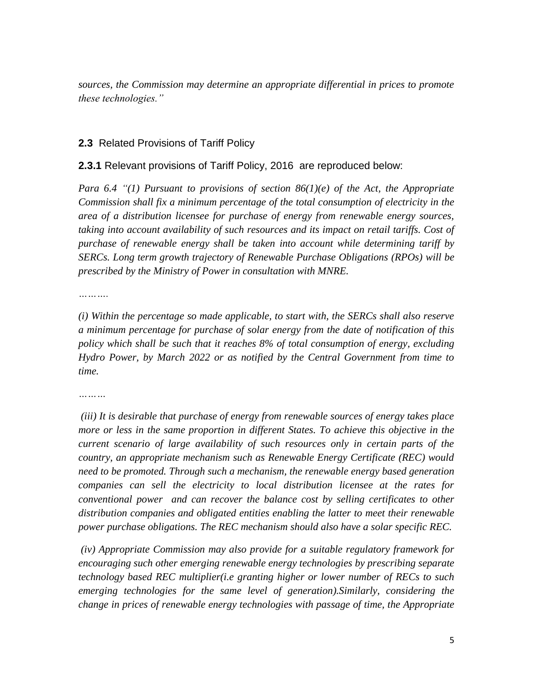*sources, the Commission may determine an appropriate differential in prices to promote these technologies."* 

## **2.3** Related Provisions of Tariff Policy

## **2.3.1** Relevant provisions of Tariff Policy, 2016 are reproduced below:

*Para 6.4 "(1) Pursuant to provisions of section 86(1)(e) of the Act, the Appropriate Commission shall fix a minimum percentage of the total consumption of electricity in the area of a distribution licensee for purchase of energy from renewable energy sources,*  taking into account availability of such resources and its impact on retail tariffs. Cost of *purchase of renewable energy shall be taken into account while determining tariff by SERCs. Long term growth trajectory of Renewable Purchase Obligations (RPOs) will be prescribed by the Ministry of Power in consultation with MNRE.*

*……….*

*(i) Within the percentage so made applicable, to start with, the SERCs shall also reserve a minimum percentage for purchase of solar energy from the date of notification of this policy which shall be such that it reaches 8% of total consumption of energy, excluding Hydro Power, by March 2022 or as notified by the Central Government from time to time.* 

*(iii) It is desirable that purchase of energy from renewable sources of energy takes place more or less in the same proportion in different States. To achieve this objective in the current scenario of large availability of such resources only in certain parts of the country, an appropriate mechanism such as Renewable Energy Certificate (REC) would need to be promoted. Through such a mechanism, the renewable energy based generation companies can sell the electricity to local distribution licensee at the rates for conventional power and can recover the balance cost by selling certificates to other distribution companies and obligated entities enabling the latter to meet their renewable power purchase obligations. The REC mechanism should also have a solar specific REC.* 

*(iv) Appropriate Commission may also provide for a suitable regulatory framework for encouraging such other emerging renewable energy technologies by prescribing separate technology based REC multiplier(i.e granting higher or lower number of RECs to such emerging technologies for the same level of generation).Similarly, considering the change in prices of renewable energy technologies with passage of time, the Appropriate*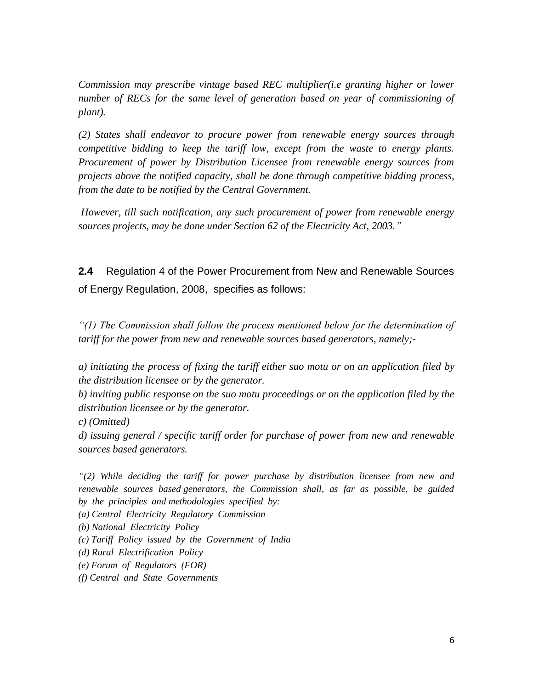*Commission may prescribe vintage based REC multiplier(i.e granting higher or lower number of RECs for the same level of generation based on year of commissioning of plant).* 

*(2) States shall endeavor to procure power from renewable energy sources through competitive bidding to keep the tariff low, except from the waste to energy plants. Procurement of power by Distribution Licensee from renewable energy sources from projects above the notified capacity, shall be done through competitive bidding process, from the date to be notified by the Central Government.* 

*However, till such notification, any such procurement of power from renewable energy sources projects, may be done under Section 62 of the Electricity Act, 2003."*

**2.4** Regulation 4 of the Power Procurement from New and Renewable Sources of Energy Regulation, 2008, specifies as follows:

*"(1) The Commission shall follow the process mentioned below for the determination of tariff for the power from new and renewable sources based generators, namely;-*

*a) initiating the process of fixing the tariff either suo motu or on an application filed by the distribution licensee or by the generator.*

*b) inviting public response on the suo motu proceedings or on the application filed by the distribution licensee or by the generator.*

*c) (Omitted)*

*d) issuing general / specific tariff order for purchase of power from new and renewable sources based generators.*

*"(2) While deciding the tariff for power purchase by distribution licensee from new and renewable sources based generators, the Commission shall, as far as possible, be guided by the principles and methodologies specified by:*

*(a) Central Electricity Regulatory Commission*

*(b) National Electricity Policy*

*(c) Tariff Policy issued by the Government of India*

*(d) Rural Electrification Policy*

- *(e) Forum of Regulators (FOR)*
- *(f) Central and State Governments*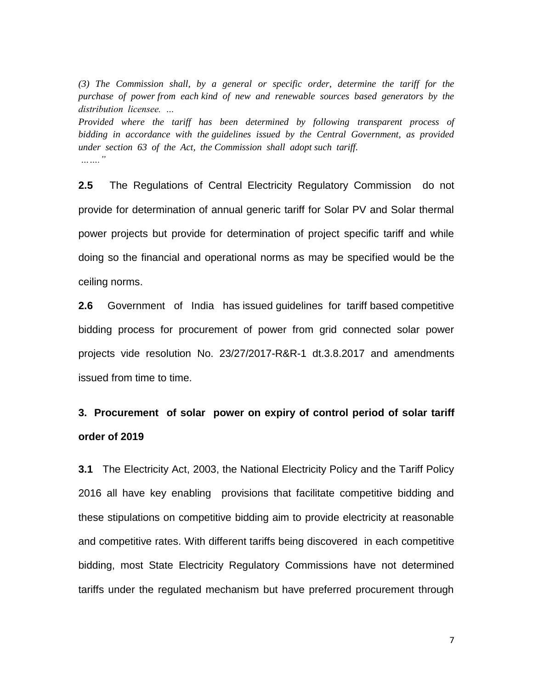*(3) The Commission shall, by a general or specific order, determine the tariff for the purchase of power from each kind of new and renewable sources based generators by the distribution licensee. …*

*Provided where the tariff has been determined by following transparent process of bidding in accordance with the guidelines issued by the Central Government, as provided under section 63 of the Act, the Commission shall adopt such tariff. ……."*

**2.5** The Regulations of Central Electricity Regulatory Commission do not provide for determination of annual generic tariff for Solar PV and Solar thermal power projects but provide for determination of project specific tariff and while doing so the financial and operational norms as may be specified would be the ceiling norms.

**2.6** Government of India has issued guidelines for tariff based competitive bidding process for procurement of power from grid connected solar power projects vide resolution No. 23/27/2017-R&R-1 dt.3.8.2017 and amendments issued from time to time.

# **3. Procurement of solar power on expiry of control period of solar tariff order of 2019**

**3.1** The Electricity Act, 2003, the National Electricity Policy and the Tariff Policy 2016 all have key enabling provisions that facilitate competitive bidding and these stipulations on competitive bidding aim to provide electricity at reasonable and competitive rates. With different tariffs being discovered in each competitive bidding, most State Electricity Regulatory Commissions have not determined tariffs under the regulated mechanism but have preferred procurement through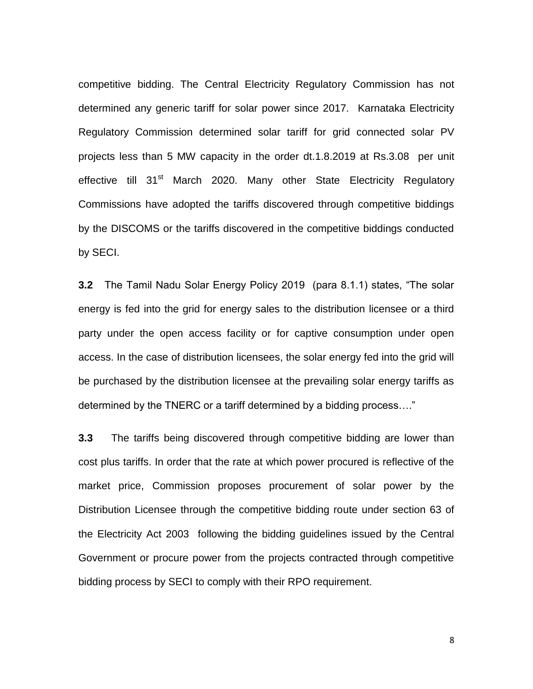competitive bidding. The Central Electricity Regulatory Commission has not determined any generic tariff for solar power since 2017. Karnataka Electricity Regulatory Commission determined solar tariff for grid connected solar PV projects less than 5 MW capacity in the order dt.1.8.2019 at Rs.3.08 per unit effective till 31<sup>st</sup> March 2020. Many other State Electricity Regulatory Commissions have adopted the tariffs discovered through competitive biddings by the DISCOMS or the tariffs discovered in the competitive biddings conducted by SECI.

**3.2** The Tamil Nadu Solar Energy Policy 2019 (para 8.1.1) states, "The solar energy is fed into the grid for energy sales to the distribution licensee or a third party under the open access facility or for captive consumption under open access. In the case of distribution licensees, the solar energy fed into the grid will be purchased by the distribution licensee at the prevailing solar energy tariffs as determined by the TNERC or a tariff determined by a bidding process…."

**3.3** The tariffs being discovered through competitive bidding are lower than cost plus tariffs. In order that the rate at which power procured is reflective of the market price, Commission proposes procurement of solar power by the Distribution Licensee through the competitive bidding route under section 63 of the Electricity Act 2003 following the bidding guidelines issued by the Central Government or procure power from the projects contracted through competitive bidding process by SECI to comply with their RPO requirement.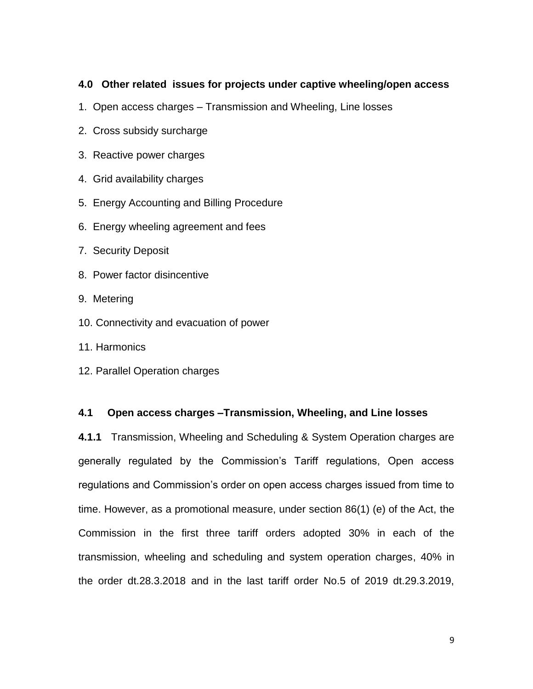# **4.0 Other related issues for projects under captive wheeling/open access**

- 1. Open access charges Transmission and Wheeling, Line losses
- 2. Cross subsidy surcharge
- 3. Reactive power charges
- 4. Grid availability charges
- 5. Energy Accounting and Billing Procedure
- 6. Energy wheeling agreement and fees
- 7. Security Deposit
- 8. Power factor disincentive
- 9. Metering
- 10. Connectivity and evacuation of power
- 11. Harmonics
- 12. Parallel Operation charges

# **4.1 Open access charges –Transmission, Wheeling, and Line losses**

**4.1.1** Transmission, Wheeling and Scheduling & System Operation charges are generally regulated by the Commission's Tariff regulations, Open access regulations and Commission's order on open access charges issued from time to time. However, as a promotional measure, under section 86(1) (e) of the Act, the Commission in the first three tariff orders adopted 30% in each of the transmission, wheeling and scheduling and system operation charges, 40% in the order dt.28.3.2018 and in the last tariff order No.5 of 2019 dt.29.3.2019,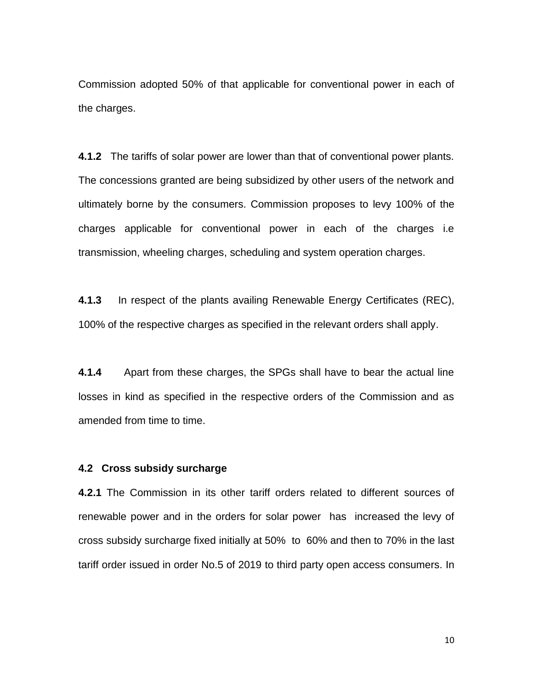Commission adopted 50% of that applicable for conventional power in each of the charges.

**4.1.2** The tariffs of solar power are lower than that of conventional power plants. The concessions granted are being subsidized by other users of the network and ultimately borne by the consumers. Commission proposes to levy 100% of the charges applicable for conventional power in each of the charges i.e transmission, wheeling charges, scheduling and system operation charges.

**4.1.3** In respect of the plants availing Renewable Energy Certificates (REC), 100% of the respective charges as specified in the relevant orders shall apply.

**4.1.4** Apart from these charges, the SPGs shall have to bear the actual line losses in kind as specified in the respective orders of the Commission and as amended from time to time.

## **4.2 Cross subsidy surcharge**

**4.2.1** The Commission in its other tariff orders related to different sources of renewable power and in the orders for solar power has increased the levy of cross subsidy surcharge fixed initially at 50% to 60% and then to 70% in the last tariff order issued in order No.5 of 2019 to third party open access consumers. In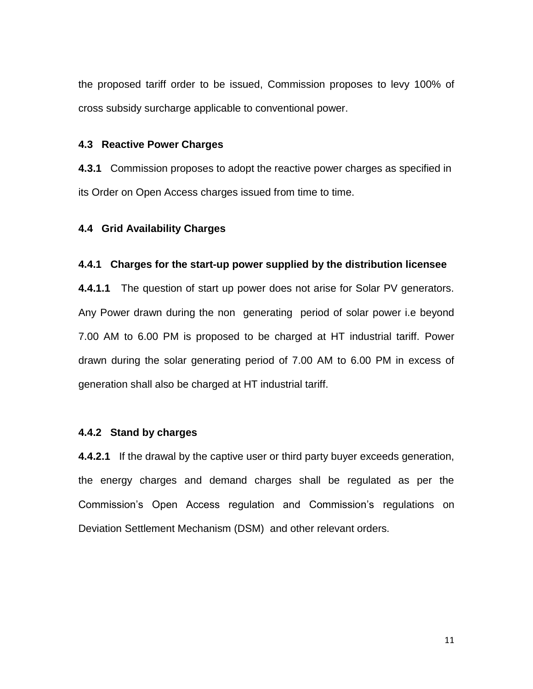the proposed tariff order to be issued, Commission proposes to levy 100% of cross subsidy surcharge applicable to conventional power.

## **4.3 Reactive Power Charges**

**4.3.1** Commission proposes to adopt the reactive power charges as specified in its Order on Open Access charges issued from time to time.

#### **4.4 Grid Availability Charges**

#### **4.4.1 Charges for the start-up power supplied by the distribution licensee**

**4.4.1.1** The question of start up power does not arise for Solar PV generators. Any Power drawn during the non generating period of solar power i.e beyond 7.00 AM to 6.00 PM is proposed to be charged at HT industrial tariff. Power drawn during the solar generating period of 7.00 AM to 6.00 PM in excess of generation shall also be charged at HT industrial tariff.

#### **4.4.2 Stand by charges**

**4.4.2.1** If the drawal by the captive user or third party buyer exceeds generation, the energy charges and demand charges shall be regulated as per the Commission's Open Access regulation and Commission's regulations on Deviation Settlement Mechanism (DSM) and other relevant orders.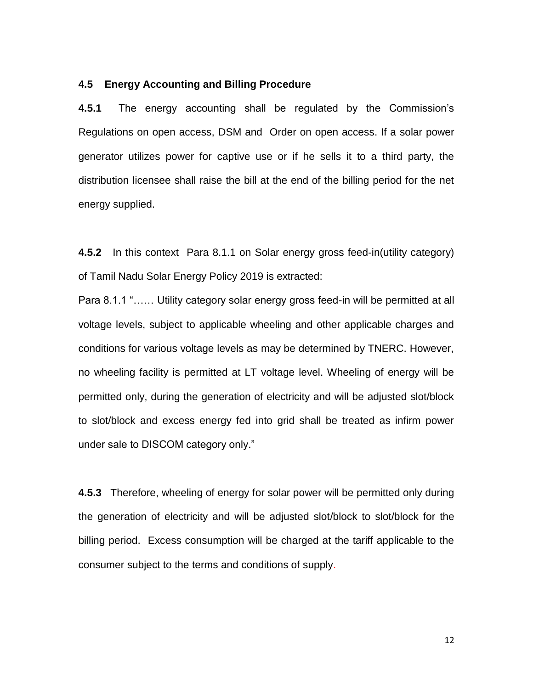#### **4.5 Energy Accounting and Billing Procedure**

**4.5.1** The energy accounting shall be regulated by the Commission's Regulations on open access, DSM and Order on open access. If a solar power generator utilizes power for captive use or if he sells it to a third party, the distribution licensee shall raise the bill at the end of the billing period for the net energy supplied.

**4.5.2** In this context Para 8.1.1 on Solar energy gross feed-in(utility category) of Tamil Nadu Solar Energy Policy 2019 is extracted:

Para 8.1.1 "…… Utility category solar energy gross feed-in will be permitted at all voltage levels, subject to applicable wheeling and other applicable charges and conditions for various voltage levels as may be determined by TNERC. However, no wheeling facility is permitted at LT voltage level. Wheeling of energy will be permitted only, during the generation of electricity and will be adjusted slot/block to slot/block and excess energy fed into grid shall be treated as infirm power under sale to DISCOM category only."

**4.5.3** Therefore, wheeling of energy for solar power will be permitted only during the generation of electricity and will be adjusted slot/block to slot/block for the billing period. Excess consumption will be charged at the tariff applicable to the consumer subject to the terms and conditions of supply.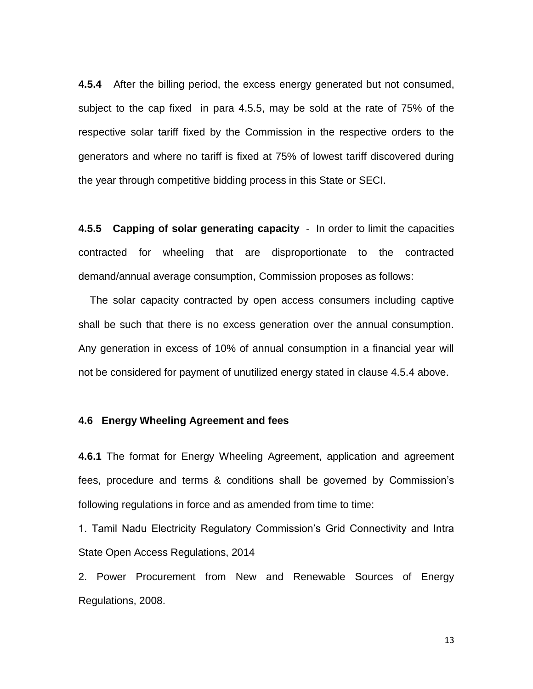**4.5.4** After the billing period, the excess energy generated but not consumed, subject to the cap fixed in para 4.5.5, may be sold at the rate of 75% of the respective solar tariff fixed by the Commission in the respective orders to the generators and where no tariff is fixed at 75% of lowest tariff discovered during the year through competitive bidding process in this State or SECI.

**4.5.5 Capping of solar generating capacity** - In order to limit the capacities contracted for wheeling that are disproportionate to the contracted demand/annual average consumption, Commission proposes as follows:

 The solar capacity contracted by open access consumers including captive shall be such that there is no excess generation over the annual consumption. Any generation in excess of 10% of annual consumption in a financial year will not be considered for payment of unutilized energy stated in clause 4.5.4 above.

## **4.6 Energy Wheeling Agreement and fees**

**4.6.1** The format for Energy Wheeling Agreement, application and agreement fees, procedure and terms & conditions shall be governed by Commission's following regulations in force and as amended from time to time:

1. Tamil Nadu Electricity Regulatory Commission's Grid Connectivity and Intra State Open Access Regulations, 2014

2. Power Procurement from New and Renewable Sources of Energy Regulations, 2008.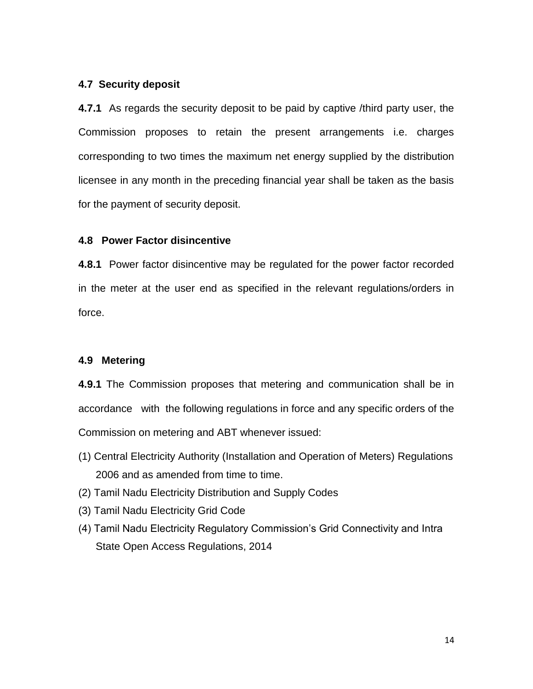## **4.7 Security deposit**

**4.7.1** As regards the security deposit to be paid by captive /third party user, the Commission proposes to retain the present arrangements i.e. charges corresponding to two times the maximum net energy supplied by the distribution licensee in any month in the preceding financial year shall be taken as the basis for the payment of security deposit.

## **4.8 Power Factor disincentive**

**4.8.1** Power factor disincentive may be regulated for the power factor recorded in the meter at the user end as specified in the relevant regulations/orders in force.

# **4.9 Metering**

**4.9.1** The Commission proposes that metering and communication shall be in accordance with the following regulations in force and any specific orders of the Commission on metering and ABT whenever issued:

- (1) Central Electricity Authority (Installation and Operation of Meters) Regulations 2006 and as amended from time to time.
- (2) Tamil Nadu Electricity Distribution and Supply Codes
- (3) Tamil Nadu Electricity Grid Code
- (4) Tamil Nadu Electricity Regulatory Commission's Grid Connectivity and Intra State Open Access Regulations, 2014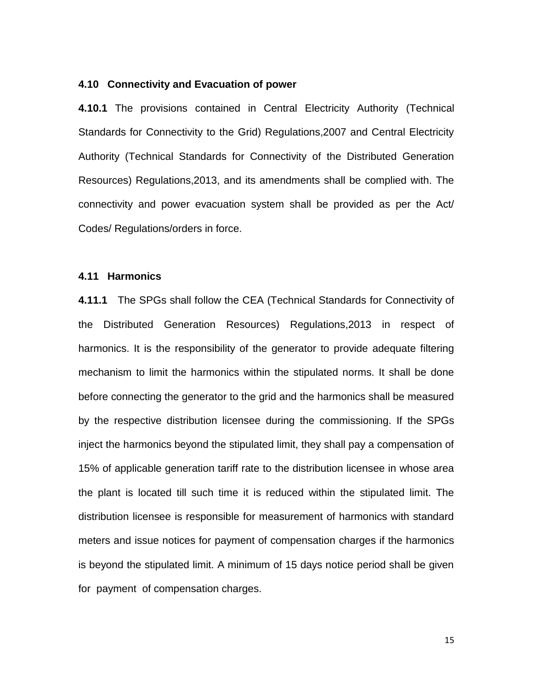#### **4.10 Connectivity and Evacuation of power**

**4.10.1** The provisions contained in Central Electricity Authority (Technical Standards for Connectivity to the Grid) Regulations,2007 and Central Electricity Authority (Technical Standards for Connectivity of the Distributed Generation Resources) Regulations,2013, and its amendments shall be complied with. The connectivity and power evacuation system shall be provided as per the Act/ Codes/ Regulations/orders in force.

#### **4.11 Harmonics**

**4.11.1** The SPGs shall follow the CEA (Technical Standards for Connectivity of the Distributed Generation Resources) Regulations,2013 in respect of harmonics. It is the responsibility of the generator to provide adequate filtering mechanism to limit the harmonics within the stipulated norms. It shall be done before connecting the generator to the grid and the harmonics shall be measured by the respective distribution licensee during the commissioning. If the SPGs inject the harmonics beyond the stipulated limit, they shall pay a compensation of 15% of applicable generation tariff rate to the distribution licensee in whose area the plant is located till such time it is reduced within the stipulated limit. The distribution licensee is responsible for measurement of harmonics with standard meters and issue notices for payment of compensation charges if the harmonics is beyond the stipulated limit. A minimum of 15 days notice period shall be given for payment of compensation charges.